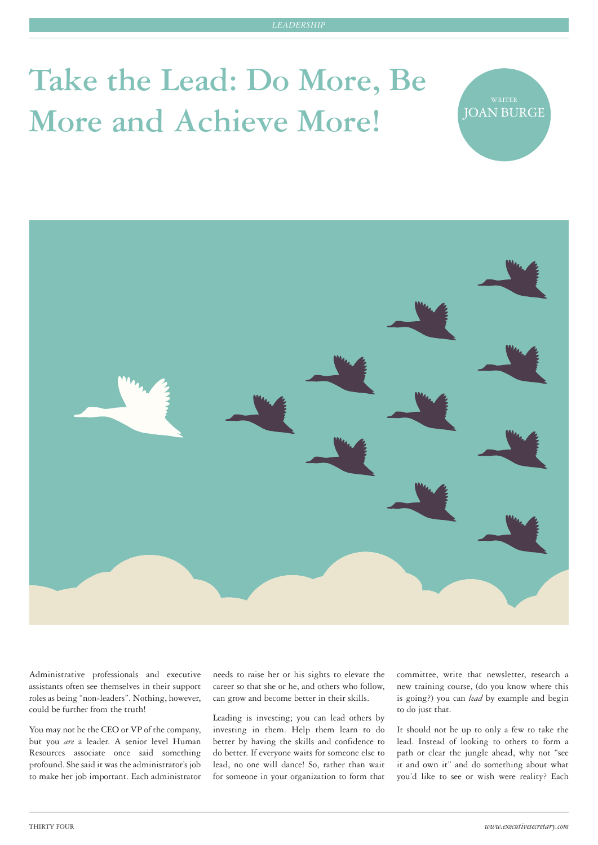# **Take the Lead: Do More, Be**  More and Achieve More!

**JOAN BURGE** 



Administrative professionals and executive assistants often see themselves in their support roles as being "non-leaders". Nothing, however, could be further from the truth!

You may not be the CEO or VP of the company, but you *are* a leader. A senior level Human Resources associate once said something profound. She said it was the administrator's job to make her job important. Each administrator needs to raise her or his sights to elevate the career so that she or he, and others who follow, can grow and become better in their skills.

Leading is investing; you can lead others by investing in them. Help them learn to do better by having the skills and confidence to do better. If everyone waits for someone else to lead, no one will dance! So, rather than wait for someone in your organization to form that

committee, write that newsletter, research a new training course, (do you know where this is going?) you can *lead* by example and begin to do just that.

It should not be up to only a few to take the lead. Instead of looking to others to form a path or clear the jungle ahead, why not "see it and own it" and do something about what you'd like to see or wish were reality? Each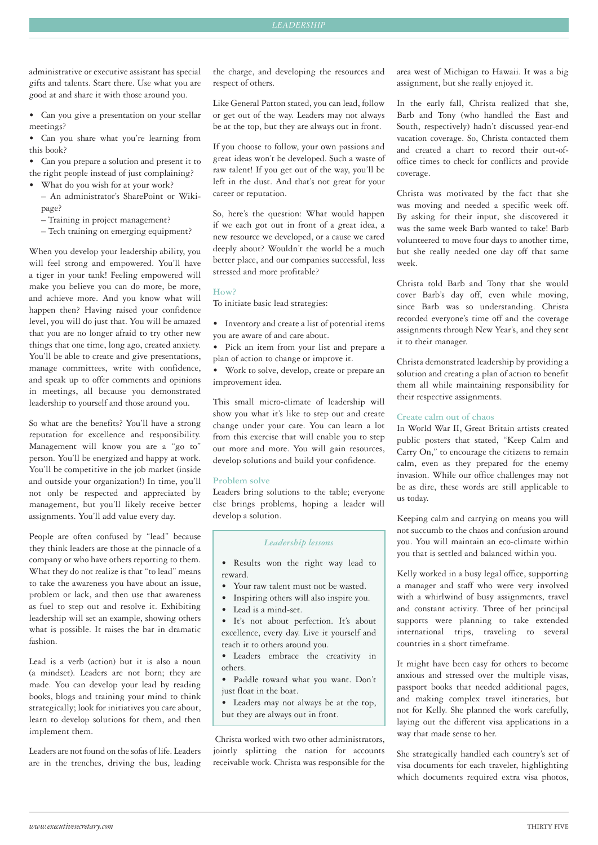administrative or executive assistant has special gifts and talents. Start there. Use what you are good at and share it with those around you.

- • Can you give a presentation on your stellar meetings?
- • Can you share what you're learning from this book?
- • Can you prepare a solution and present it to
- the right people instead of just complaining?
- What do you wish for at your work? – An administrator's SharePoint or Wiki
	- page?
	- Training in project management?
	- Tech training on emerging equipment?

When you develop your leadership ability, you will feel strong and empowered. You'll have a tiger in your tank! Feeling empowered will make you believe you can do more, be more, and achieve more. And you know what will happen then? Having raised your confidence level, you will do just that. You will be amazed that you are no longer afraid to try other new things that one time, long ago, created anxiety. You'll be able to create and give presentations, manage committees, write with confidence, and speak up to offer comments and opinions in meetings, all because you demonstrated leadership to yourself and those around you.

So what are the benefits? You'll have a strong reputation for excellence and responsibility. Management will know you are a "go to" person. You'll be energized and happy at work. You'll be competitive in the job market (inside and outside your organization!) In time, you'll not only be respected and appreciated by management, but you'll likely receive better assignments. You'll add value every day.

People are often confused by "lead" because they think leaders are those at the pinnacle of a company or who have others reporting to them. What they do not realize is that "to lead" means to take the awareness you have about an issue, problem or lack, and then use that awareness as fuel to step out and resolve it. Exhibiting leadership will set an example, showing others what is possible. It raises the bar in dramatic fashion.

Lead is a verb (action) but it is also a noun (a mindset). Leaders are not born; they are made. You can develop your lead by reading books, blogs and training your mind to think strategically; look for initiatives you care about, learn to develop solutions for them, and then implement them.

Leaders are not found on the sofas of life. Leaders are in the trenches, driving the bus, leading the charge, and developing the resources and respect of others.

Like General Patton stated, you can lead, follow or get out of the way. Leaders may not always be at the top, but they are always out in front.

If you choose to follow, your own passions and great ideas won't be developed. Such a waste of raw talent! If you get out of the way, you'll be left in the dust. And that's not great for your career or reputation.

So, here's the question: What would happen if we each got out in front of a great idea, a new resource we developed, or a cause we cared deeply about? Wouldn't the world be a much better place, and our companies successful, less stressed and more profitable?

#### **How?**

To initiate basic lead strategies:

- • Inventory and create a list of potential items you are aware of and care about.
- • Pick an item from your list and prepare a plan of action to change or improve it.

• Work to solve, develop, create or prepare an improvement idea.

This small micro-climate of leadership will show you what it's like to step out and create change under your care. You can learn a lot from this exercise that will enable you to step out more and more. You will gain resources, develop solutions and build your confidence.

## **Problem solve**

Leaders bring solutions to the table; everyone else brings problems, hoping a leader will develop a solution.

#### *Leadership lessons*

- • Results won the right way lead to reward.
- Your raw talent must not be wasted.
- • Inspiring others will also inspire you.
- Lead is a mind-set.
- • It's not about perfection. It's about excellence, every day. Live it yourself and teach it to others around you.
- • Leaders embrace the creativity in others.
- • Paddle toward what you want. Don't just float in the boat.
- • Leaders may not always be at the top, but they are always out in front.

Christa worked with two other administrators, jointly splitting the nation for accounts receivable work. Christa was responsible for the

area west of Michigan to Hawaii. It was a big assignment, but she really enjoyed it.

In the early fall, Christa realized that she, Barb and Tony (who handled the East and South, respectively) hadn't discussed year-end vacation coverage. So, Christa contacted them and created a chart to record their out-ofoffice times to check for conflicts and provide coverage.

Christa was motivated by the fact that she was moving and needed a specific week off. By asking for their input, she discovered it was the same week Barb wanted to take! Barb volunteered to move four days to another time, but she really needed one day off that same week.

Christa told Barb and Tony that she would cover Barb's day off, even while moving, since Barb was so understanding. Christa recorded everyone's time off and the coverage assignments through New Year's, and they sent it to their manager.

Christa demonstrated leadership by providing a solution and creating a plan of action to benefit them all while maintaining responsibility for their respective assignments.

# **Create calm out of chaos**

In World War II, Great Britain artists created public posters that stated, "Keep Calm and Carry On," to encourage the citizens to remain calm, even as they prepared for the enemy invasion. While our office challenges may not be as dire, these words are still applicable to us today.

Keeping calm and carrying on means you will not succumb to the chaos and confusion around you. You will maintain an eco-climate within you that is settled and balanced within you.

Kelly worked in a busy legal office, supporting a manager and staff who were very involved with a whirlwind of busy assignments, travel and constant activity. Three of her principal supports were planning to take extended international trips, traveling to several countries in a short timeframe.

It might have been easy for others to become anxious and stressed over the multiple visas, passport books that needed additional pages, and making complex travel itineraries, but not for Kelly. She planned the work carefully, laying out the different visa applications in a way that made sense to her.

She strategically handled each country's set of visa documents for each traveler, highlighting which documents required extra visa photos,